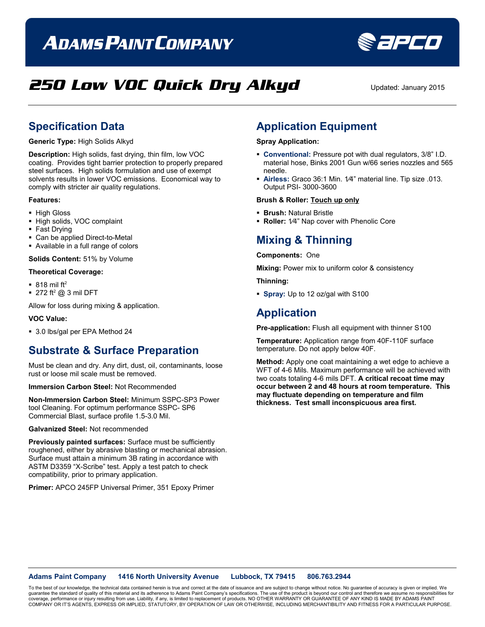# **ADAMS PAINT COMPANY**



## **250 Low VOC Quick Dry Alkyd** Updated: January 2015

### **Specification Data**

**Generic Type:** High Solids Alkyd

**Description:** High solids, fast drying, thin film, low VOC coating. Provides tight barrier protection to properly prepared steel surfaces. High solids formulation and use of exempt solvents results in lower VOC emissions. Economical way to comply with stricter air quality regulations.

#### **Features:**

- **High Gloss**
- High solids, VOC complaint
- Fast Drying
- Can be applied Direct-to-Metal
- Available in a full range of colors

**Solids Content:** 51% by Volume

#### **Theoretical Coverage:**

- $\blacksquare$  818 mil ft<sup>2</sup>
- $\blacksquare$  272 ft<sup>2</sup> @ 3 mil DFT

Allow for loss during mixing & application.

#### **VOC Value:**

■ 3.0 lbs/gal per EPA Method 24

### **Substrate & Surface Preparation**

Must be clean and dry. Any dirt, dust, oil, contaminants, loose rust or loose mil scale must be removed.

#### **Immersion Carbon Steel:** Not Recommended

**Non-Immersion Carbon Steel:** Minimum SSPC-SP3 Power tool Cleaning. For optimum performance SSPC- SP6 Commercial Blast, surface profile 1.5-3.0 Mil.

**Galvanized Steel:** Not recommended

**Previously painted surfaces:** Surface must be sufficiently roughened, either by abrasive blasting or mechanical abrasion. Surface must attain a minimum 3B rating in accordance with ASTM D3359 "X-Scribe" test. Apply a test patch to check compatibility, prior to primary application.

**Primer:** APCO 245FP Universal Primer, 351 Epoxy Primer

### **Application Equipment**

#### **Spray Application:**

- **Conventional:** Pressure pot with dual regulators, 3/8" I.D. material hose, Binks 2001 Gun w/66 series nozzles and 565 needle.
- **Airless:** Graco 36:1 Min. 1⁄4" material line. Tip size .013. Output PSI- 3000-3600

#### **Brush & Roller: Touch up only**

- **Brush:** Natural Bristle
- **Roller:** 1⁄4" Nap cover with Phenolic Core

### **Mixing & Thinning**

#### **Components:** One

**Mixing:** Power mix to uniform color & consistency

**Thinning:**

**Spray:** Up to 12 oz/gal with S100

### **Application**

**Pre-application:** Flush all equipment with thinner S100

**Temperature:** Application range from 40F-110F surface temperature. Do not apply below 40F.

**Method:** Apply one coat maintaining a wet edge to achieve a WFT of 4-6 Mils. Maximum performance will be achieved with two coats totaling 4-6 mils DFT. **A critical recoat time may occur between 2 and 48 hours at room temperature. This may fluctuate depending on temperature and film thickness. Test small inconspicuous area first.**

**Adams Paint Company 1416 North University Avenue Lubbock, TX 79415 806.763.2944**

To the best of our knowledge, the technical data contained herein is true and correct at the date of issuance and are subject to change without notice. No guarantee of accuracy is given or implied. We<br>quarantee the standar guarantee the standard of quality of this material and its adherence to Adams Paint Company's specifications. The use of the product is beyond our control and therefore we ass coverage, performance or injury resulting from use. Liability, if any, is limited to replacement of products. NO OTHER WARRANTY OR GUARANTEE OF ANY KIND IS MADE BY ADAMS PAINT<br>COMPANY OR IT'S AGENTS, EXPRESS OR IMPLIED, ST